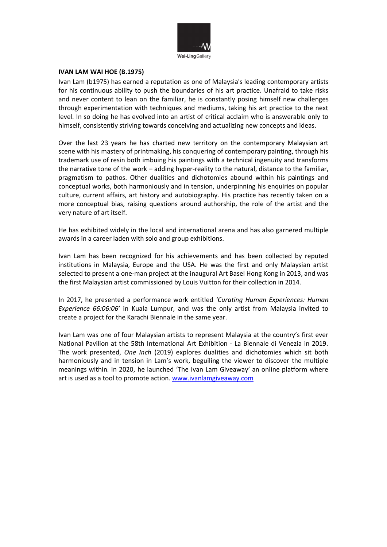

#### **IVAN LAM WAI HOE (B.1975)**

Ivan Lam (b1975) has earned a reputation as one of Malaysia's leading contemporary artists for his continuous ability to push the boundaries of his art practice. Unafraid to take risks and never content to lean on the familiar, he is constantly posing himself new challenges through experimentation with techniques and mediums, taking his art practice to the next level. In so doing he has evolved into an artist of critical acclaim who is answerable only to himself, consistently striving towards conceiving and actualizing new concepts and ideas.

Over the last 23 years he has charted new territory on the contemporary Malaysian art scene with his mastery of printmaking, his conquering of contemporary painting, through his trademark use of resin both imbuing his paintings with a technical ingenuity and transforms the narrative tone of the work – adding hyper-reality to the natural, distance to the familiar, pragmatism to pathos. Other dualities and dichotomies abound within his paintings and conceptual works, both harmoniously and in tension, underpinning his enquiries on popular culture, current affairs, art history and autobiography. His practice has recently taken on a more conceptual bias, raising questions around authorship, the role of the artist and the very nature of art itself.

He has exhibited widely in the local and international arena and has also garnered multiple awards in a career laden with solo and group exhibitions.

Ivan Lam has been recognized for his achievements and has been collected by reputed institutions in Malaysia, Europe and the USA. He was the first and only Malaysian artist selected to present a one-man project at the inaugural Art Basel Hong Kong in 2013, and was the first Malaysian artist commissioned by Louis Vuitton for their collection in 2014.

In 2017, he presented a performance work entitled *'Curating Human Experiences: Human Experience 66:06:06'* in Kuala Lumpur, and was the only artist from Malaysia invited to create a project for the Karachi Biennale in the same year.

Ivan Lam was one of four Malaysian artists to represent Malaysia at the country's first ever National Pavilion at the 58th International Art Exhibition - La Biennale di Venezia in 2019. The work presented, *One Inch* (2019) explores dualities and dichotomies which sit both harmoniously and in tension in Lam's work, beguiling the viewer to discover the multiple meanings within. In 2020, he launched 'The Ivan Lam Giveaway' an online platform where art is used as a tool to promote action. [www.ivanlamgiveaway.com](http://www.ivanlamgiveaway.com/)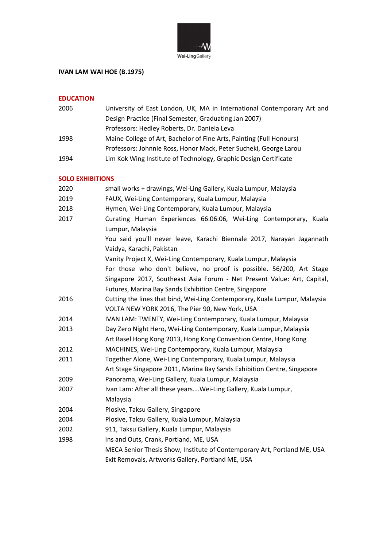

# **IVAN LAM WAI HOE (B.1975)**

# **EDUCATION**

| 2006 | University of East London, UK, MA in International Contemporary Art and |
|------|-------------------------------------------------------------------------|
|      | Design Practice (Final Semester, Graduating Jan 2007)                   |
|      | Professors: Hedley Roberts, Dr. Daniela Leva                            |
| 1998 | Maine College of Art, Bachelor of Fine Arts, Painting (Full Honours)    |
|      | Professors: Johnnie Ross, Honor Mack, Peter Sucheki, George Larou       |
| 1994 | Lim Kok Wing Institute of Technology, Graphic Design Certificate        |

#### **SOLO EXHIBITIONS**

| 2020 | small works + drawings, Wei-Ling Gallery, Kuala Lumpur, Malaysia                      |
|------|---------------------------------------------------------------------------------------|
| 2019 | FAUX, Wei-Ling Contemporary, Kuala Lumpur, Malaysia                                   |
| 2018 | Hymen, Wei-Ling Contemporary, Kuala Lumpur, Malaysia                                  |
| 2017 | Curating Human Experiences 66:06:06, Wei-Ling Contemporary, Kuala<br>Lumpur, Malaysia |
|      | You said you'll never leave, Karachi Biennale 2017, Narayan Jagannath                 |
|      | Vaidya, Karachi, Pakistan                                                             |
|      | Vanity Project X, Wei-Ling Contemporary, Kuala Lumpur, Malaysia                       |
|      | For those who don't believe, no proof is possible. 56/200, Art Stage                  |
|      | Singapore 2017, Southeast Asia Forum - Net Present Value: Art, Capital,               |
|      | Futures, Marina Bay Sands Exhibition Centre, Singapore                                |
| 2016 | Cutting the lines that bind, Wei-Ling Contemporary, Kuala Lumpur, Malaysia            |
|      | VOLTA NEW YORK 2016, The Pier 90, New York, USA                                       |
| 2014 | IVAN LAM: TWENTY, Wei-Ling Contemporary, Kuala Lumpur, Malaysia                       |
| 2013 | Day Zero Night Hero, Wei-Ling Contemporary, Kuala Lumpur, Malaysia                    |
|      | Art Basel Hong Kong 2013, Hong Kong Convention Centre, Hong Kong                      |
| 2012 | MACHINES, Wei-Ling Contemporary, Kuala Lumpur, Malaysia                               |
| 2011 | Together Alone, Wei-Ling Contemporary, Kuala Lumpur, Malaysia                         |
|      | Art Stage Singapore 2011, Marina Bay Sands Exhibition Centre, Singapore               |
| 2009 | Panorama, Wei-Ling Gallery, Kuala Lumpur, Malaysia                                    |
| 2007 | Ivan Lam: After all these yearsWei-Ling Gallery, Kuala Lumpur,                        |
|      | Malaysia                                                                              |
| 2004 | Plosive, Taksu Gallery, Singapore                                                     |
| 2004 | Plosive, Taksu Gallery, Kuala Lumpur, Malaysia                                        |
| 2002 | 911, Taksu Gallery, Kuala Lumpur, Malaysia                                            |
| 1998 | Ins and Outs, Crank, Portland, ME, USA                                                |
|      | MECA Senior Thesis Show, Institute of Contemporary Art, Portland ME, USA              |
|      | Exit Removals, Artworks Gallery, Portland ME, USA                                     |
|      |                                                                                       |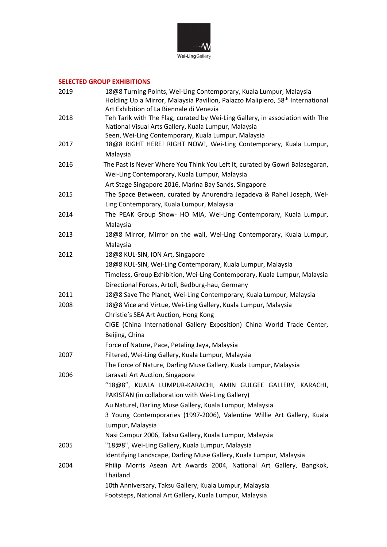

### **SELECTED GROUP EXHIBITIONS**

| 2019 | 18@8 Turning Points, Wei-Ling Contemporary, Kuala Lumpur, Malaysia<br>Holding Up a Mirror, Malaysia Pavilion, Palazzo Malipiero, 58 <sup>th</sup> International<br>Art Exhibition of La Biennale di Venezia |
|------|-------------------------------------------------------------------------------------------------------------------------------------------------------------------------------------------------------------|
| 2018 | Teh Tarik with The Flag, curated by Wei-Ling Gallery, in association with The<br>National Visual Arts Gallery, Kuala Lumpur, Malaysia                                                                       |
|      | Seen, Wei-Ling Contemporary, Kuala Lumpur, Malaysia                                                                                                                                                         |
| 2017 | 18@8 RIGHT HERE! RIGHT NOW!, Wei-Ling Contemporary, Kuala Lumpur,<br>Malaysia                                                                                                                               |
| 2016 | The Past Is Never Where You Think You Left It, curated by Gowri Balasegaran,                                                                                                                                |
|      | Wei-Ling Contemporary, Kuala Lumpur, Malaysia                                                                                                                                                               |
|      | Art Stage Singapore 2016, Marina Bay Sands, Singapore                                                                                                                                                       |
| 2015 | The Space Between, curated by Anurendra Jegadeva & Rahel Joseph, Wei-                                                                                                                                       |
|      | Ling Contemporary, Kuala Lumpur, Malaysia                                                                                                                                                                   |
| 2014 | The PEAK Group Show- HO MIA, Wei-Ling Contemporary, Kuala Lumpur,<br>Malaysia                                                                                                                               |
|      |                                                                                                                                                                                                             |
| 2013 | 18@8 Mirror, Mirror on the wall, Wei-Ling Contemporary, Kuala Lumpur,<br>Malaysia                                                                                                                           |
| 2012 | 18@8 KUL-SIN, ION Art, Singapore                                                                                                                                                                            |
|      | 18@8 KUL-SIN, Wei-Ling Contemporary, Kuala Lumpur, Malaysia                                                                                                                                                 |
|      | Timeless, Group Exhibition, Wei-Ling Contemporary, Kuala Lumpur, Malaysia                                                                                                                                   |
|      | Directional Forces, Artoll, Bedburg-hau, Germany                                                                                                                                                            |
| 2011 | 18@8 Save The Planet, Wei-Ling Contemporary, Kuala Lumpur, Malaysia                                                                                                                                         |
| 2008 | 18@8 Vice and Virtue, Wei-Ling Gallery, Kuala Lumpur, Malaysia                                                                                                                                              |
|      | Christie's SEA Art Auction, Hong Kong                                                                                                                                                                       |
|      | CIGE (China International Gallery Exposition) China World Trade Center,                                                                                                                                     |
|      | Beijing, China                                                                                                                                                                                              |
|      | Force of Nature, Pace, Petaling Jaya, Malaysia                                                                                                                                                              |
| 2007 | Filtered, Wei-Ling Gallery, Kuala Lumpur, Malaysia                                                                                                                                                          |
|      | The Force of Nature, Darling Muse Gallery, Kuala Lumpur, Malaysia                                                                                                                                           |
| 2006 | Larasati Art Auction, Singapore                                                                                                                                                                             |
|      | "18@8", KUALA LUMPUR-KARACHI, AMIN GULGEE GALLERY, KARACHI,                                                                                                                                                 |
|      | PAKISTAN (in collaboration with Wei-Ling Gallery)                                                                                                                                                           |
|      | Au Naturel, Darling Muse Gallery, Kuala Lumpur, Malaysia                                                                                                                                                    |
|      | 3 Young Contemporaries (1997-2006), Valentine Willie Art Gallery, Kuala                                                                                                                                     |
|      | Lumpur, Malaysia                                                                                                                                                                                            |
|      | Nasi Campur 2006, Taksu Gallery, Kuala Lumpur, Malaysia                                                                                                                                                     |
| 2005 | "18@8", Wei-Ling Gallery, Kuala Lumpur, Malaysia                                                                                                                                                            |
|      | Identifying Landscape, Darling Muse Gallery, Kuala Lumpur, Malaysia                                                                                                                                         |
| 2004 | Philip Morris Asean Art Awards 2004, National Art Gallery, Bangkok,                                                                                                                                         |
|      | Thailand                                                                                                                                                                                                    |
|      | 10th Anniversary, Taksu Gallery, Kuala Lumpur, Malaysia                                                                                                                                                     |
|      | Footsteps, National Art Gallery, Kuala Lumpur, Malaysia                                                                                                                                                     |